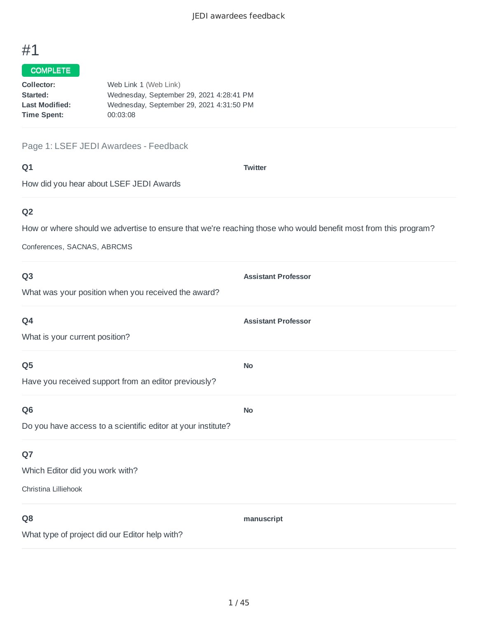### COMPLETE

| Collector:            | Web Link 1 (Web Link)                    |
|-----------------------|------------------------------------------|
| Started:              | Wednesday, September 29, 2021 4:28:41 PM |
| <b>Last Modified:</b> | Wednesday, September 29, 2021 4:31:50 PM |
| Time Spent:           | 00:03:08                                 |
|                       |                                          |

#### Page 1: LSEF JEDI Awardees - Feedback

| ۰           | ٧ |
|-------------|---|
| ×<br>w<br>× |   |

**Twitter**

How did you hear about LSEF JEDI Awards

# **Q2**

How or where should we advertise to ensure that we're reaching those who would benefit most from this program?

Conferences, SACNAS, ABRCMS

| Q <sub>3</sub>                                               | <b>Assistant Professor</b> |
|--------------------------------------------------------------|----------------------------|
| What was your position when you received the award?          |                            |
| Q4                                                           | <b>Assistant Professor</b> |
| What is your current position?                               |                            |
| Q <sub>5</sub>                                               | <b>No</b>                  |
| Have you received support from an editor previously?         |                            |
| Q <sub>6</sub>                                               | <b>No</b>                  |
| Do you have access to a scientific editor at your institute? |                            |
| Q7                                                           |                            |
| Which Editor did you work with?                              |                            |
| Christina Lilliehook                                         |                            |
| Q <sub>8</sub>                                               | manuscript                 |
| What type of project did our Editor help with?               |                            |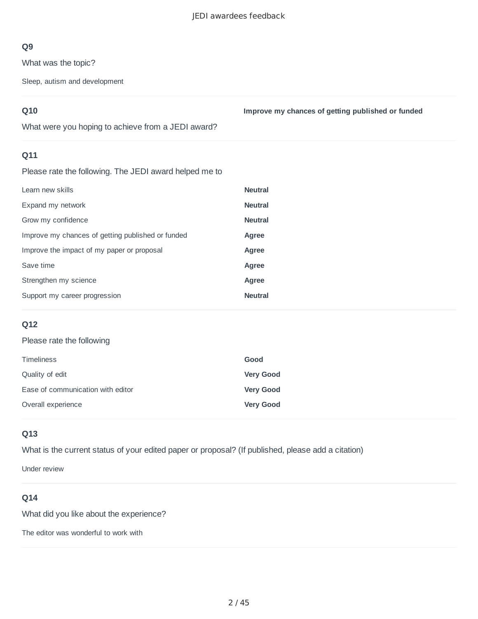What was the topic?

Sleep, autism and development

## **Q10**

**Improve my chances of getting published or funded**

What were you hoping to achieve from a JEDI award?

## **Q11**

Please rate the following. The JEDI award helped me to

| <b>Neutral</b> |
|----------------|
| <b>Neutral</b> |
| <b>Neutral</b> |
| Agree          |
| Agree          |
| Agree          |
| Agree          |
| <b>Neutral</b> |
|                |

## **Q12**

#### Please rate the following

| <b>Timeliness</b>                 | Good             |
|-----------------------------------|------------------|
| Quality of edit                   | <b>Very Good</b> |
| Ease of communication with editor | <b>Very Good</b> |
| Overall experience                | <b>Very Good</b> |

## **Q13**

What is the current status of your edited paper or proposal? (If published, please add a citation)

Under review

## **Q14**

What did you like about the experience?

The editor was wonderful to work with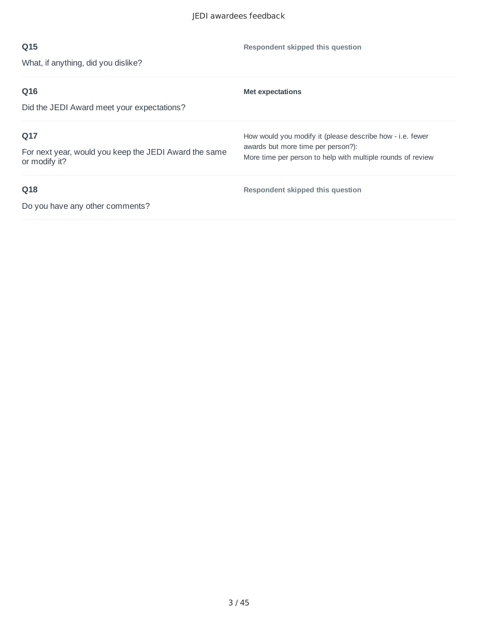| Q15                                                                    | Respondent skipped this question                                                                  |
|------------------------------------------------------------------------|---------------------------------------------------------------------------------------------------|
| What, if anything, did you dislike?                                    |                                                                                                   |
| Q16                                                                    | <b>Met expectations</b>                                                                           |
| Did the JEDI Award meet your expectations?                             |                                                                                                   |
| Q17                                                                    | How would you modify it (please describe how - i.e. fewer                                         |
| For next year, would you keep the JEDI Award the same<br>or modify it? | awards but more time per person?):<br>More time per person to help with multiple rounds of review |
| Q18                                                                    | Respondent skipped this question                                                                  |
| Do you have any other comments?                                        |                                                                                                   |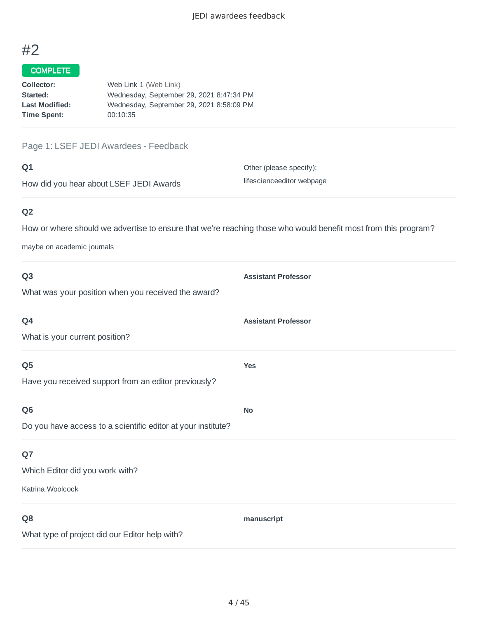#### COMPLETE

| Collector:            | Web Link 1 (Web Link)                    |
|-----------------------|------------------------------------------|
| Started:              | Wednesday, September 29, 2021 8:47:34 PM |
| <b>Last Modified:</b> | Wednesday, September 29, 2021 8:58:09 PM |
| Time Spent:           | 00:10:35                                 |
|                       |                                          |

#### Page 1: LSEF JEDI Awardees - Feedback

#### **Q1**

How did you hear about LSEF JEDI Awards

Other (please specify): lifescienceeditor webpage

## **Q2**

How or where should we advertise to ensure that we're reaching those who would benefit most from this program?

maybe on academic journals

| Q <sub>3</sub>                                               | <b>Assistant Professor</b> |
|--------------------------------------------------------------|----------------------------|
| What was your position when you received the award?          |                            |
| Q4                                                           | <b>Assistant Professor</b> |
| What is your current position?                               |                            |
| Q <sub>5</sub>                                               | <b>Yes</b>                 |
| Have you received support from an editor previously?         |                            |
| Q <sub>6</sub>                                               | <b>No</b>                  |
| Do you have access to a scientific editor at your institute? |                            |
| Q7                                                           |                            |
| Which Editor did you work with?                              |                            |
| Katrina Woolcock                                             |                            |
| Q <sub>8</sub>                                               | manuscript                 |
| What type of project did our Editor help with?               |                            |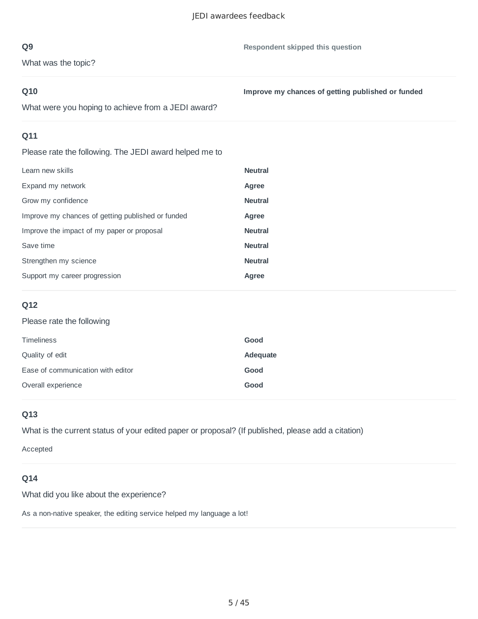What was the topic?

#### **Q10**

**Improve my chances of getting published or funded**

What were you hoping to achieve from a JEDI award?

## **Q11**

Please rate the following. The JEDI award helped me to

| Learn new skills                                  | <b>Neutral</b> |
|---------------------------------------------------|----------------|
| Expand my network                                 | Agree          |
| Grow my confidence                                | <b>Neutral</b> |
| Improve my chances of getting published or funded | Agree          |
| Improve the impact of my paper or proposal        | <b>Neutral</b> |
| Save time                                         | <b>Neutral</b> |
| Strengthen my science                             | <b>Neutral</b> |
| Support my career progression                     | Agree          |
|                                                   |                |

## **Q12**

## Please rate the following

| <b>Timeliness</b>                 | Good     |
|-----------------------------------|----------|
| Quality of edit                   | Adequate |
| Ease of communication with editor | Good     |
| Overall experience                | Good     |

#### **Q13**

What is the current status of your edited paper or proposal? (If published, please add a citation)

Accepted

### **Q14**

What did you like about the experience?

As a non-native speaker, the editing service helped my language a lot!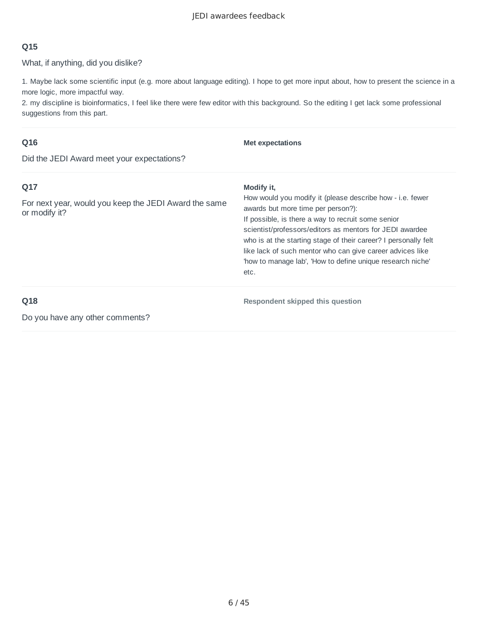What, if anything, did you dislike?

1. Maybe lack some scientific input (e.g. more about language editing). I hope to get more input about, how to present the science in a more logic, more impactful way.

2. my discipline is bioinformatics, I feel like there were few editor with this background. So the editing I get lack some professional suggestions from this part.

## **Q16**

**Met expectations**

Did the JEDI Award meet your expectations?

| Q17<br>For next year, would you keep the JEDI Award the same<br>or modify it? | Modify it,<br>How would you modify it (please describe how - i.e. fewer<br>awards but more time per person?):<br>If possible, is there a way to recruit some senior<br>scientist/professors/editors as mentors for JEDI awardee<br>who is at the starting stage of their career? I personally felt<br>like lack of such mentor who can give career advices like<br>'how to manage lab', 'How to define unique research niche'<br>etc. |
|-------------------------------------------------------------------------------|---------------------------------------------------------------------------------------------------------------------------------------------------------------------------------------------------------------------------------------------------------------------------------------------------------------------------------------------------------------------------------------------------------------------------------------|
| Q18                                                                           | Respondent skipped this question                                                                                                                                                                                                                                                                                                                                                                                                      |
| Do you have any other comments?                                               |                                                                                                                                                                                                                                                                                                                                                                                                                                       |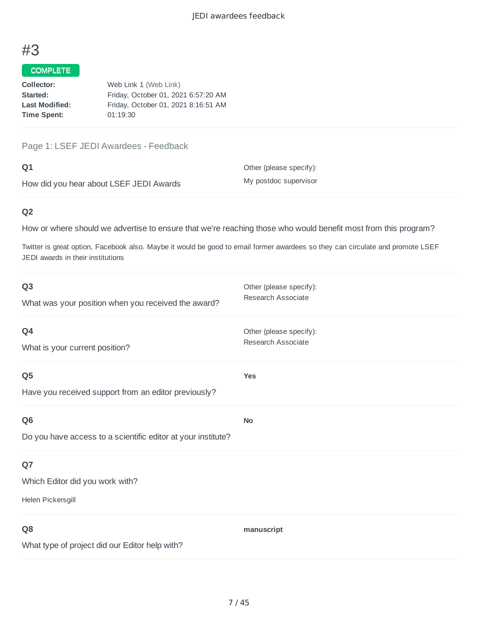#### COMPLETE

| Collector:            | Web Link 1 (Web Link)               |
|-----------------------|-------------------------------------|
| Started:              | Friday, October 01, 2021 6:57:20 AM |
| <b>Last Modified:</b> | Friday, October 01, 2021 8:16:51 AM |
| <b>Time Spent:</b>    | 01:19:30                            |
|                       |                                     |

Page 1: LSEF JEDI Awardees - Feedback

#### **Q1**

How did you hear about LSEF JEDI Awards

Other (please specify): My postdoc supervisor

## **Q2**

How or where should we advertise to ensure that we're reaching those who would benefit most from this program?

Twitter is great option, Facebook also. Maybe it would be good to email former awardees so they can circulate and promote LSEF JEDI awards in their institutions

| Q <sub>3</sub><br>What was your position when you received the award?          | Other (please specify):<br>Research Associate |
|--------------------------------------------------------------------------------|-----------------------------------------------|
| Q4<br>What is your current position?                                           | Other (please specify):<br>Research Associate |
| Q <sub>5</sub><br>Have you received support from an editor previously?         | <b>Yes</b>                                    |
| Q <sub>6</sub><br>Do you have access to a scientific editor at your institute? | <b>No</b>                                     |
| Q7<br>Which Editor did you work with?<br>Helen Pickersgill                     |                                               |
| Q8<br>What type of project did our Editor help with?                           | manuscript                                    |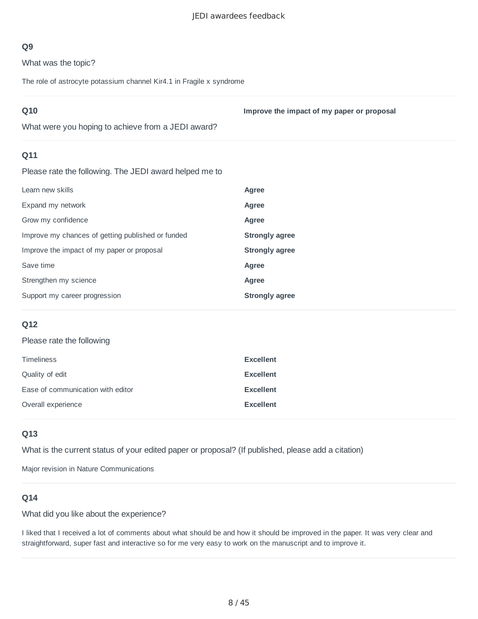What was the topic?

The role of astrocyte potassium channel Kir4.1 in Fragile x syndrome

| Q10                                                    | Improve the impact of my paper or proposal |
|--------------------------------------------------------|--------------------------------------------|
| What were you hoping to achieve from a JEDI award?     |                                            |
| Q11                                                    |                                            |
| Please rate the following. The JEDI award helped me to |                                            |
| Learn new skills                                       | Agree                                      |
| Expand my network                                      | Agree                                      |
| Grow my confidence                                     | Agree                                      |
| Improve my chances of getting published or funded      | <b>Strongly agree</b>                      |
| Improve the impact of my paper or proposal             | <b>Strongly agree</b>                      |
| Save time                                              | Agree                                      |
| Strengthen my science                                  | Agree                                      |
| Support my career progression                          | <b>Strongly agree</b>                      |
|                                                        |                                            |

#### **Q12**

#### Please rate the following

| <b>Timeliness</b>                 | <b>Excellent</b> |
|-----------------------------------|------------------|
| Quality of edit                   | <b>Excellent</b> |
| Ease of communication with editor | <b>Excellent</b> |
| Overall experience                | <b>Excellent</b> |

#### **Q13**

What is the current status of your edited paper or proposal? (If published, please add a citation)

Major revision in Nature Communications

#### **Q14**

What did you like about the experience?

I liked that I received a lot of comments about what should be and how it should be improved in the paper. It was very clear and straightforward, super fast and interactive so for me very easy to work on the manuscript and to improve it.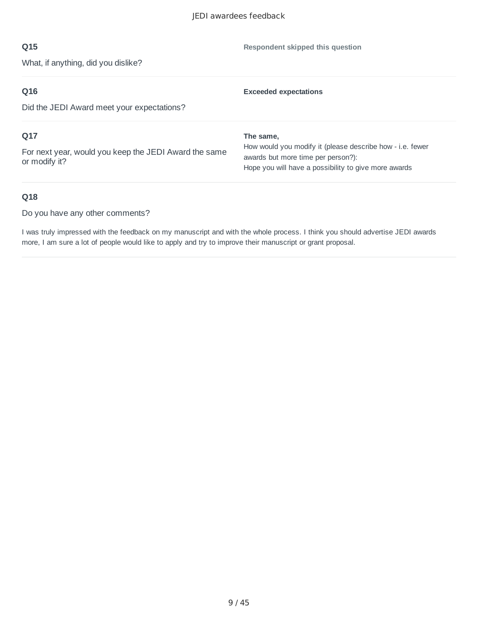**Respondent skipped this question**

## **Q15**

What, if anything, did you dislike?

| Q16                                                                    | <b>Exceeded expectations</b>                                                                    |
|------------------------------------------------------------------------|-------------------------------------------------------------------------------------------------|
| Did the JEDI Award meet your expectations?                             |                                                                                                 |
| Q17                                                                    | The same,                                                                                       |
| For next year, would you keep the JEDI Award the same<br>or modify it? | How would you modify it (please describe how - i.e. fewer<br>awards but more time per person?): |
|                                                                        | Hope you will have a possibility to give more awards                                            |

#### **Q18**

Do you have any other comments?

I was truly impressed with the feedback on my manuscript and with the whole process. I think you should advertise JEDI awards more, I am sure a lot of people would like to apply and try to improve their manuscript or grant proposal.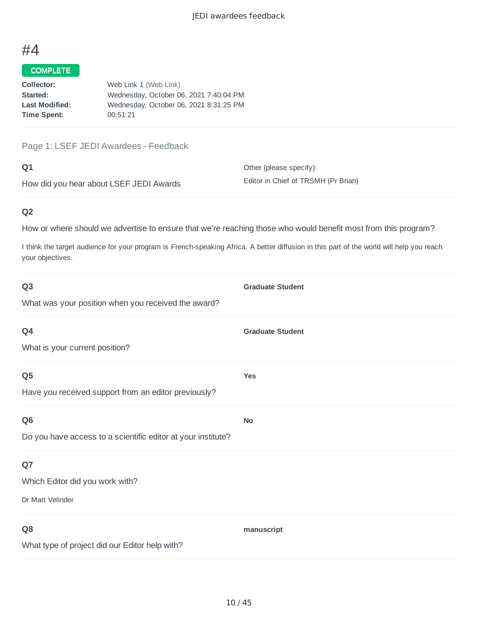# COMPLETE

| Collector:            | Web Link 1 (Web Link)                  |
|-----------------------|----------------------------------------|
| Started:              | Wednesday, October 06, 2021 7:40:04 PM |
| <b>Last Modified:</b> | Wednesday, October 06, 2021 8:31:25 PM |
| Time Spent:           | 00:51:21                               |
|                       |                                        |

Page 1: LSEF JEDI Awardees - Feedback

#### **Q1**

How did you hear about LSEF JEDI Awards

Other (please specify): Editor in Chief of TRSMH (Pr Brian)

## **Q2**

How or where should we advertise to ensure that we're reaching those who would benefit most from this program?

I think the target audience for your program is French-speaking Africa. A better diffusion in this part of the world will help you reach your objectives.

| Q <sub>3</sub>                                               | <b>Graduate Student</b> |
|--------------------------------------------------------------|-------------------------|
| What was your position when you received the award?          |                         |
| Q4                                                           | <b>Graduate Student</b> |
| What is your current position?                               |                         |
| Q <sub>5</sub>                                               | Yes                     |
| Have you received support from an editor previously?         |                         |
| Q <sub>6</sub>                                               | <b>No</b>               |
| Do you have access to a scientific editor at your institute? |                         |
| Q7                                                           |                         |
| Which Editor did you work with?                              |                         |
| Dr Matt Velinder                                             |                         |
| Q <sub>8</sub>                                               | manuscript              |
| What type of project did our Editor help with?               |                         |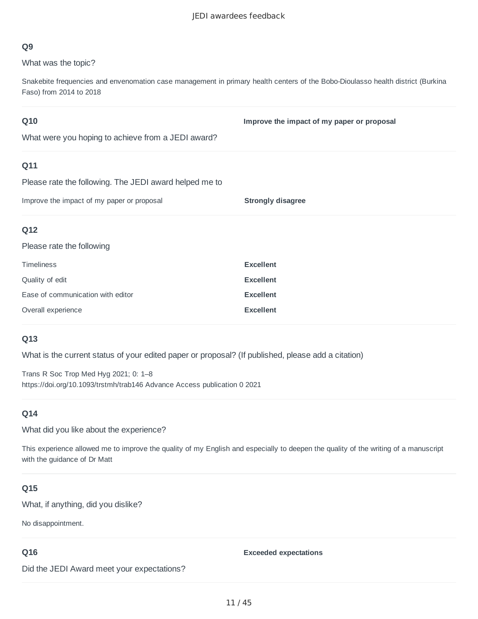What was the topic?

Snakebite frequencies and envenomation case management in primary health centers of the Bobo-Dioulasso health district (Burkina Faso) from 2014 to 2018

## **Q10**

**Improve the impact of my paper or proposal**

What were you hoping to achieve from a JEDI award?

#### **Q11**

Please rate the following. The JEDI award helped me to

Improve the impact of my paper or proposal **Strongly disagree**

#### **Q12**

Please rate the following

| <b>Timeliness</b>                 | <b>Excellent</b> |
|-----------------------------------|------------------|
| Quality of edit                   | <b>Excellent</b> |
| Ease of communication with editor | <b>Excellent</b> |
| Overall experience                | <b>Excellent</b> |

#### **Q13**

What is the current status of your edited paper or proposal? (If published, please add a citation)

Trans R Soc Trop Med Hyg 2021; 0: 1–8 https://doi.org/10.1093/trstmh/trab146 Advance Access publication 0 2021

#### **Q14**

What did you like about the experience?

This experience allowed me to improve the quality of my English and especially to deepen the quality of the writing of a manuscript with the guidance of Dr Matt

#### **Q15**

What, if anything, did you dislike?

No disappointment.

#### **Q16**

#### **Exceeded expectations**

Did the JEDI Award meet your expectations?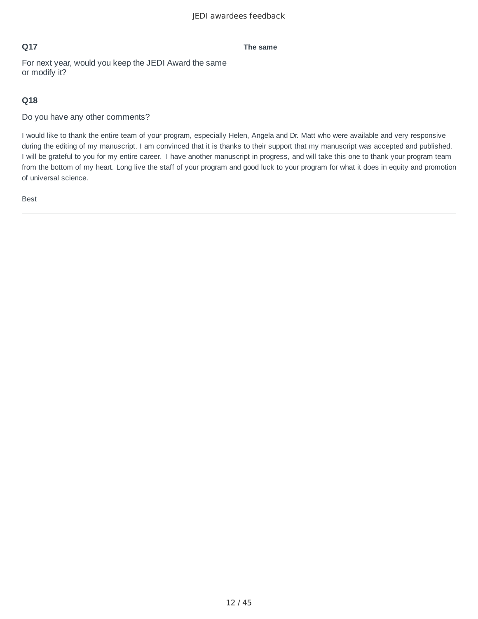#### **The same**

For next year, would you keep the JEDI Award the same or modify it?

#### **Q18**

Do you have any other comments?

I would like to thank the entire team of your program, especially Helen, Angela and Dr. Matt who were available and very responsive during the editing of my manuscript. I am convinced that it is thanks to their support that my manuscript was accepted and published. I will be grateful to you for my entire career. I have another manuscript in progress, and will take this one to thank your program team from the bottom of my heart. Long live the staff of your program and good luck to your program for what it does in equity and promotion of universal science.

Best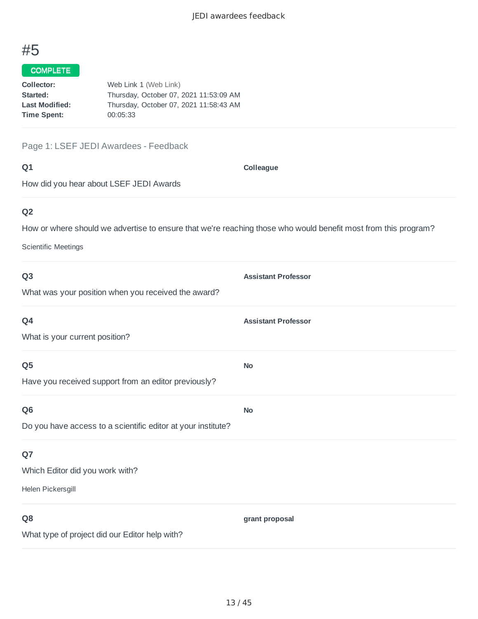### COMPLETE

| Collector:            | Web Link 1 (Web Link)                  |
|-----------------------|----------------------------------------|
| Started:              | Thursday, October 07, 2021 11:53:09 AM |
| <b>Last Modified:</b> | Thursday, October 07, 2021 11:58:43 AM |
| <b>Time Spent:</b>    | 00:05:33                               |
|                       |                                        |

Page 1: LSEF JEDI Awardees - Feedback

| ۰           | c |
|-------------|---|
| ×<br>w<br>× |   |

**Colleague**

How did you hear about LSEF JEDI Awards

## **Q2**

How or where should we advertise to ensure that we're reaching those who would benefit most from this program?

Scientific Meetings

| Q <sub>3</sub>                                               | <b>Assistant Professor</b> |
|--------------------------------------------------------------|----------------------------|
| What was your position when you received the award?          |                            |
| Q4                                                           | <b>Assistant Professor</b> |
| What is your current position?                               |                            |
| Q <sub>5</sub>                                               | <b>No</b>                  |
| Have you received support from an editor previously?         |                            |
| Q <sub>6</sub>                                               | <b>No</b>                  |
| Do you have access to a scientific editor at your institute? |                            |
| Q7                                                           |                            |
| Which Editor did you work with?                              |                            |
| Helen Pickersgill                                            |                            |
| Q <sub>8</sub>                                               | grant proposal             |
| What type of project did our Editor help with?               |                            |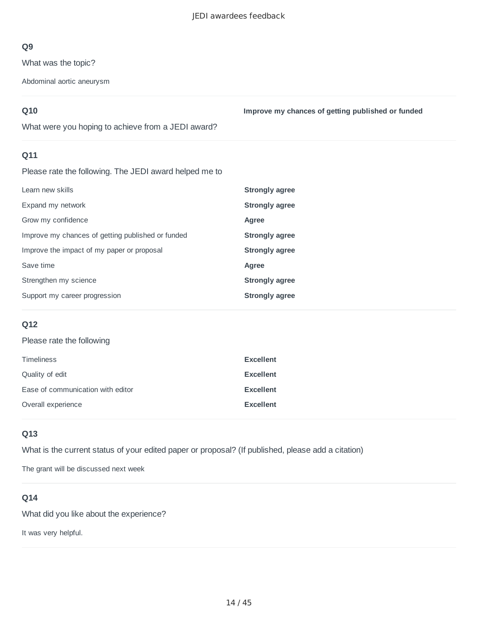What was the topic?

Abdominal aortic aneurysm

## **Q10**

**Improve my chances of getting published or funded**

What were you hoping to achieve from a JEDI award?

## **Q11**

Please rate the following. The JEDI award helped me to

| Learn new skills                                  | Strongly agree        |
|---------------------------------------------------|-----------------------|
| Expand my network                                 | <b>Strongly agree</b> |
| Grow my confidence                                | Agree                 |
| Improve my chances of getting published or funded | <b>Strongly agree</b> |
| Improve the impact of my paper or proposal        | <b>Strongly agree</b> |
| Save time                                         | Agree                 |
| Strengthen my science                             | <b>Strongly agree</b> |
| Support my career progression                     | <b>Strongly agree</b> |

## **Q12**

#### Please rate the following

| <b>Timeliness</b>                 | <b>Excellent</b> |
|-----------------------------------|------------------|
| Quality of edit                   | <b>Excellent</b> |
| Ease of communication with editor | <b>Excellent</b> |
| Overall experience                | <b>Excellent</b> |

## **Q13**

What is the current status of your edited paper or proposal? (If published, please add a citation)

The grant will be discussed next week

### **Q14**

What did you like about the experience?

It was very helpful.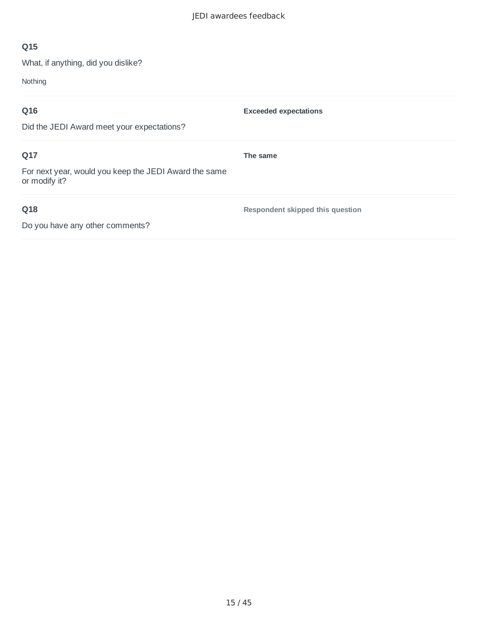What, if anything, did you dislike?

Nothing

| Q16                                                                    | <b>Exceeded expectations</b>     |
|------------------------------------------------------------------------|----------------------------------|
| Did the JEDI Award meet your expectations?                             |                                  |
| Q17                                                                    | The same                         |
| For next year, would you keep the JEDI Award the same<br>or modify it? |                                  |
| Q18                                                                    | Respondent skipped this question |
| Do you have any other comments?                                        |                                  |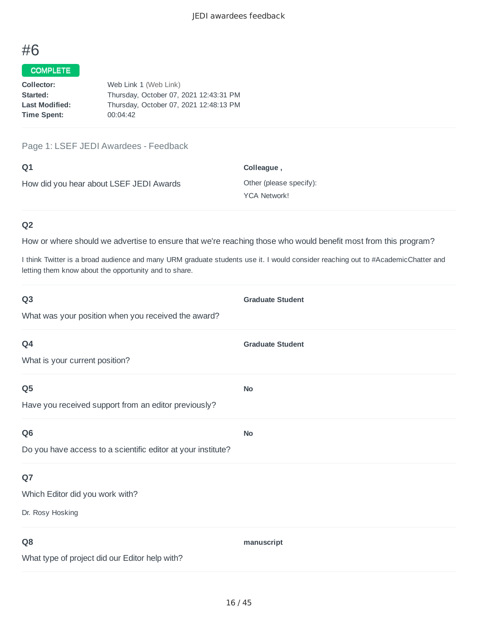#### COMPLETE

| Collector:            | Web Link 1 (Web Link)                  |
|-----------------------|----------------------------------------|
| Started:              | Thursday, October 07, 2021 12:43:31 PM |
| <b>Last Modified:</b> | Thursday, October 07, 2021 12:48:13 PM |
| <b>Time Spent:</b>    | 00:04:42                               |
|                       |                                        |

Page 1: LSEF JEDI Awardees - Feedback

| Q1                                      | Colleague,              |
|-----------------------------------------|-------------------------|
| How did you hear about LSEF JEDI Awards | Other (please specify): |
|                                         | <b>YCA Network!</b>     |

### **Q2**

How or where should we advertise to ensure that we're reaching those who would benefit most from this program?

I think Twitter is a broad audience and many URM graduate students use it. I would consider reaching out to #AcademicChatter and letting them know about the opportunity and to share.

| Q <sub>3</sub>                                               | <b>Graduate Student</b> |
|--------------------------------------------------------------|-------------------------|
| What was your position when you received the award?          |                         |
| Q4                                                           | <b>Graduate Student</b> |
| What is your current position?                               |                         |
| Q <sub>5</sub>                                               | <b>No</b>               |
| Have you received support from an editor previously?         |                         |
| Q <sub>6</sub>                                               | <b>No</b>               |
| Do you have access to a scientific editor at your institute? |                         |
| Q7                                                           |                         |
| Which Editor did you work with?                              |                         |
| Dr. Rosy Hosking                                             |                         |
| Q <sub>8</sub>                                               | manuscript              |
| What type of project did our Editor help with?               |                         |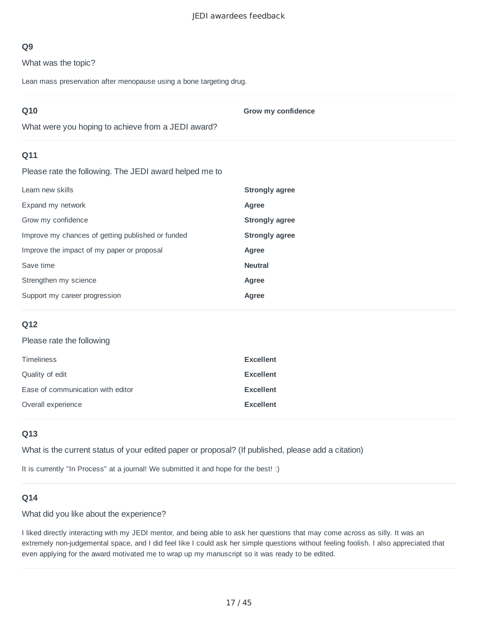What was the topic?

Lean mass preservation after menopause using a bone targeting drug.

| Q10                                                    | Grow my confidence    |
|--------------------------------------------------------|-----------------------|
| What were you hoping to achieve from a JEDI award?     |                       |
| Q11                                                    |                       |
| Please rate the following. The JEDI award helped me to |                       |
| Learn new skills                                       | <b>Strongly agree</b> |
| Expand my network                                      | Agree                 |
| Grow my confidence                                     | <b>Strongly agree</b> |
| Improve my chances of getting published or funded      | <b>Strongly agree</b> |
| Improve the impact of my paper or proposal             | Agree                 |
| Save time                                              | <b>Neutral</b>        |
| Strengthen my science                                  | Agree                 |
| Support my career progression                          | Agree                 |

#### **Q12**

#### Please rate the following

| <b>Timeliness</b>                 | <b>Excellent</b> |
|-----------------------------------|------------------|
| Quality of edit                   | <b>Excellent</b> |
| Ease of communication with editor | <b>Excellent</b> |
| Overall experience                | <b>Excellent</b> |

#### **Q13**

What is the current status of your edited paper or proposal? (If published, please add a citation)

It is currently "In Process" at a journal! We submitted it and hope for the best! :)

#### **Q14**

#### What did you like about the experience?

I liked directly interacting with my JEDI mentor, and being able to ask her questions that may come across as silly. It was an extremely non-judgemental space, and I did feel like I could ask her simple questions without feeling foolish. I also appreciated that even applying for the award motivated me to wrap up my manuscript so it was ready to be edited.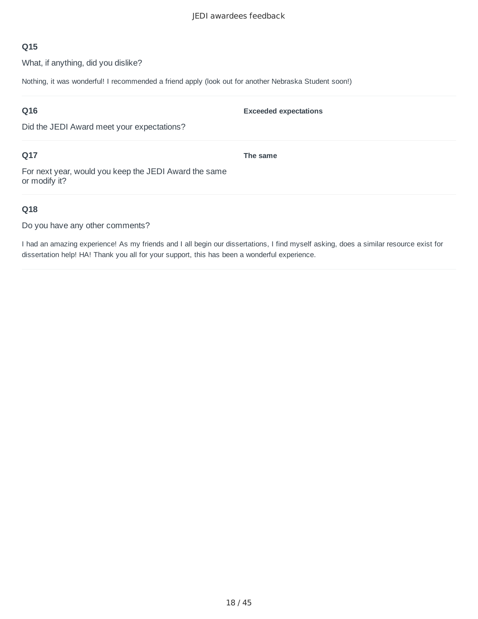What, if anything, did you dislike?

Nothing, it was wonderful! I recommended a friend apply (look out for another Nebraska Student soon!)

## **Q16**

Did the JEDI Award meet your expectations?

## **Q17**

**The same**

**Exceeded expectations**

For next year, would you keep the JEDI Award the same or modify it?

## **Q18**

Do you have any other comments?

I had an amazing experience! As my friends and I all begin our dissertations, I find myself asking, does a similar resource exist for dissertation help! HA! Thank you all for your support, this has been a wonderful experience.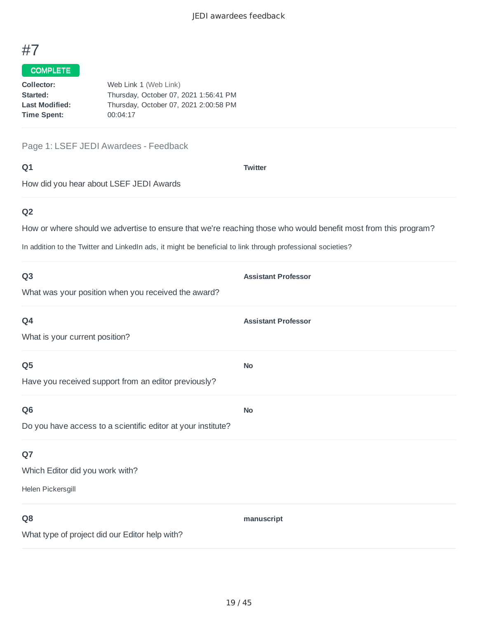# COMPLETE

| Web Link 1 (Web Link)                 |
|---------------------------------------|
| Thursday, October 07, 2021 1:56:41 PM |
| Thursday, October 07, 2021 2:00:58 PM |
| 00:04:17                              |
|                                       |

Page 1: LSEF JEDI Awardees - Feedback

#### **Q1**

**Twitter**

How did you hear about LSEF JEDI Awards

## **Q2**

How or where should we advertise to ensure that we're reaching those who would benefit most from this program?

In addition to the Twitter and LinkedIn ads, it might be beneficial to link through professional societies?

| Q <sub>3</sub>                                               | <b>Assistant Professor</b> |
|--------------------------------------------------------------|----------------------------|
| What was your position when you received the award?          |                            |
| Q4                                                           | <b>Assistant Professor</b> |
| What is your current position?                               |                            |
| Q <sub>5</sub>                                               | <b>No</b>                  |
| Have you received support from an editor previously?         |                            |
| Q <sub>6</sub>                                               | <b>No</b>                  |
| Do you have access to a scientific editor at your institute? |                            |
| Q7                                                           |                            |
| Which Editor did you work with?                              |                            |
| Helen Pickersgill                                            |                            |
| Q <sub>8</sub>                                               | manuscript                 |
| What type of project did our Editor help with?               |                            |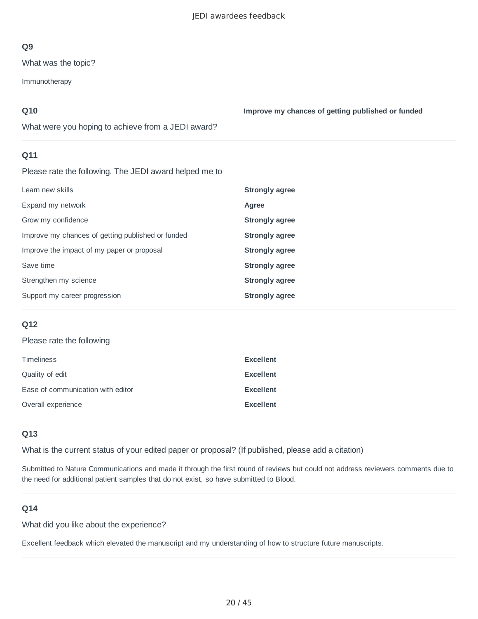What was the topic?

Immunotherapy

## **Q10**

**Improve my chances of getting published or funded**

What were you hoping to achieve from a JEDI award?

## **Q11**

Please rate the following. The JEDI award helped me to

| Learn new skills                                  | Strongly agree |
|---------------------------------------------------|----------------|
| Expand my network                                 | Agree          |
| Grow my confidence                                | Strongly agree |
| Improve my chances of getting published or funded | Strongly agree |
| Improve the impact of my paper or proposal        | Strongly agree |
| Save time                                         | Strongly agree |
| Strengthen my science                             | Strongly agree |
| Support my career progression                     | Strongly agree |

## **Q12**

#### Please rate the following

| <b>Timeliness</b>                 | <b>Excellent</b> |
|-----------------------------------|------------------|
| Quality of edit                   | <b>Excellent</b> |
| Ease of communication with editor | <b>Excellent</b> |
| Overall experience                | <b>Excellent</b> |

## **Q13**

What is the current status of your edited paper or proposal? (If published, please add a citation)

Submitted to Nature Communications and made it through the first round of reviews but could not address reviewers comments due to the need for additional patient samples that do not exist, so have submitted to Blood.

## **Q14**

What did you like about the experience?

Excellent feedback which elevated the manuscript and my understanding of how to structure future manuscripts.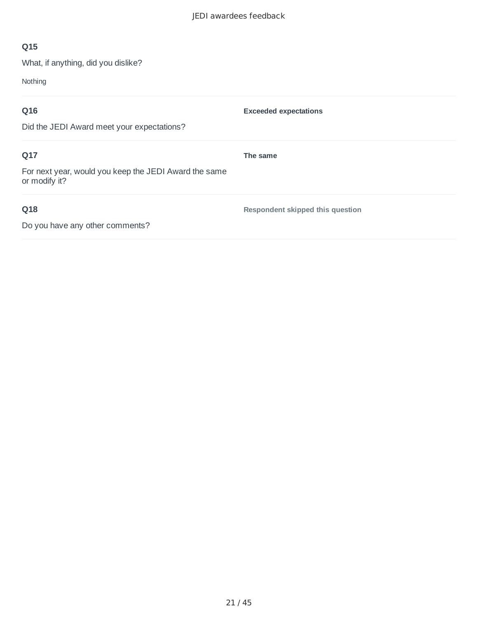What, if anything, did you dislike?

Nothing

| Q16                                                                    | <b>Exceeded expectations</b>     |
|------------------------------------------------------------------------|----------------------------------|
| Did the JEDI Award meet your expectations?                             |                                  |
| Q17                                                                    | The same                         |
| For next year, would you keep the JEDI Award the same<br>or modify it? |                                  |
| Q18                                                                    | Respondent skipped this question |
| Do you have any other comments?                                        |                                  |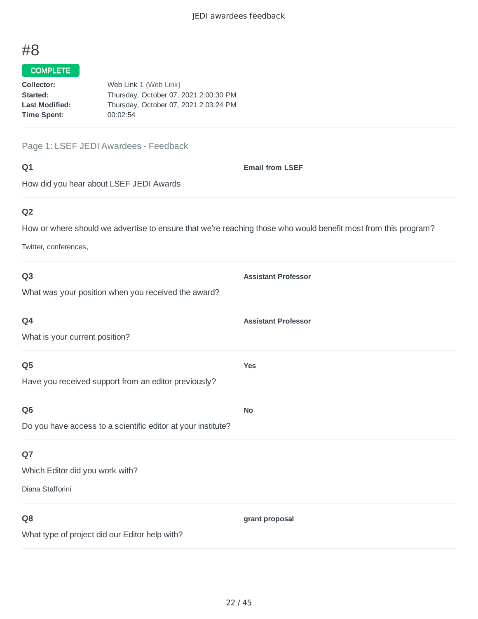### COMPLETE

| Web Link 1 (Web Link)                 |
|---------------------------------------|
| Thursday, October 07, 2021 2:00:30 PM |
| Thursday, October 07, 2021 2:03:24 PM |
|                                       |
|                                       |

#### Page 1: LSEF JEDI Awardees - Feedback

#### **Q1**

**Email from LSEF**

How did you hear about LSEF JEDI Awards

## **Q2**

How or where should we advertise to ensure that we're reaching those who would benefit most from this program?

Twitter, conferences,

| Q <sub>3</sub>                                               | <b>Assistant Professor</b> |
|--------------------------------------------------------------|----------------------------|
| What was your position when you received the award?          |                            |
| Q4                                                           | <b>Assistant Professor</b> |
| What is your current position?                               |                            |
| Q <sub>5</sub>                                               | <b>Yes</b>                 |
| Have you received support from an editor previously?         |                            |
| Q <sub>6</sub>                                               | <b>No</b>                  |
| Do you have access to a scientific editor at your institute? |                            |
| Q7                                                           |                            |
| Which Editor did you work with?                              |                            |
| Diana Stafforini                                             |                            |
| Q <sub>8</sub>                                               | grant proposal             |
| What type of project did our Editor help with?               |                            |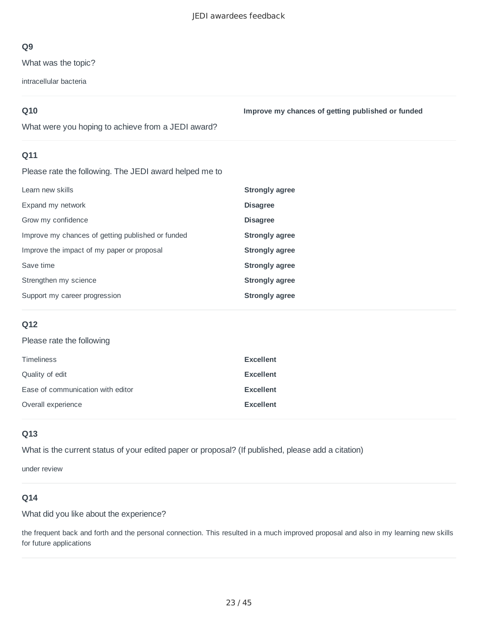What was the topic?

intracellular bacteria

## **Q10**

**Improve my chances of getting published or funded**

What were you hoping to achieve from a JEDI award?

## **Q11**

Please rate the following. The JEDI award helped me to

| Learn new skills                                  | Strongly agree        |
|---------------------------------------------------|-----------------------|
| Expand my network                                 | <b>Disagree</b>       |
| Grow my confidence                                | <b>Disagree</b>       |
| Improve my chances of getting published or funded | Strongly agree        |
| Improve the impact of my paper or proposal        | <b>Strongly agree</b> |
| Save time                                         | <b>Strongly agree</b> |
| Strengthen my science                             | Strongly agree        |
| Support my career progression                     | Strongly agree        |

## **Q12**

#### Please rate the following

| <b>Timeliness</b>                 | <b>Excellent</b> |
|-----------------------------------|------------------|
| Quality of edit                   | <b>Excellent</b> |
| Ease of communication with editor | <b>Excellent</b> |
| Overall experience                | <b>Excellent</b> |

## **Q13**

What is the current status of your edited paper or proposal? (If published, please add a citation)

under review

## **Q14**

What did you like about the experience?

the frequent back and forth and the personal connection. This resulted in a much improved proposal and also in my learning new skills for future applications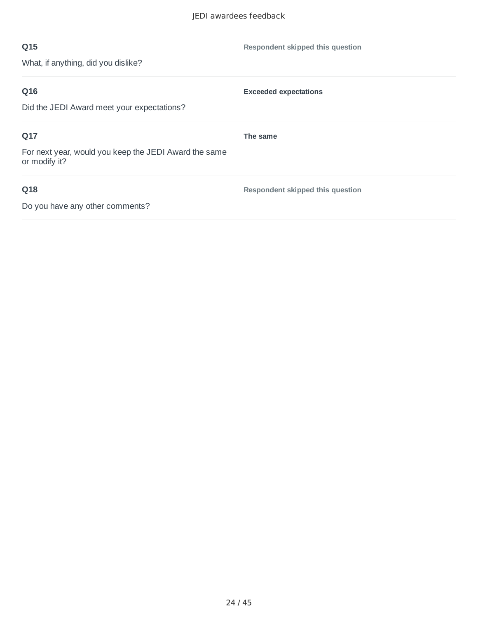| Q15                                                                    | Respondent skipped this question |
|------------------------------------------------------------------------|----------------------------------|
| What, if anything, did you dislike?                                    |                                  |
| Q16                                                                    | <b>Exceeded expectations</b>     |
| Did the JEDI Award meet your expectations?                             |                                  |
| Q17                                                                    | The same                         |
| For next year, would you keep the JEDI Award the same<br>or modify it? |                                  |
| Q18                                                                    | Respondent skipped this question |
| Do you have any other comments?                                        |                                  |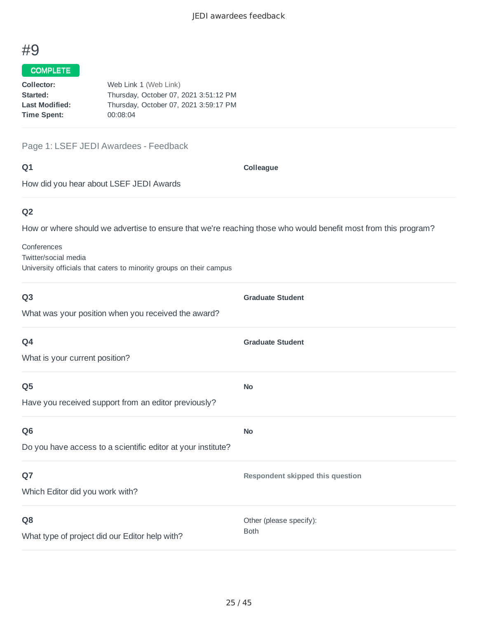#### COMPLETE

| Collector:            | Web Link 1 (Web Link)                 |
|-----------------------|---------------------------------------|
| Started:              | Thursday, October 07, 2021 3:51:12 PM |
| <b>Last Modified:</b> | Thursday, October 07, 2021 3:59:17 PM |
| <b>Time Spent:</b>    | 00:08:04                              |
|                       |                                       |

#### Page 1: LSEF JEDI Awardees - Feedback

#### **Q1**

**Colleague**

How did you hear about LSEF JEDI Awards

## **Q2**

How or where should we advertise to ensure that we're reaching those who would benefit most from this program?

Conferences Twitter/social media University officials that caters to minority groups on their campus

| Q <sub>3</sub>                                               | <b>Graduate Student</b>          |
|--------------------------------------------------------------|----------------------------------|
| What was your position when you received the award?          |                                  |
| Q4                                                           | <b>Graduate Student</b>          |
| What is your current position?                               |                                  |
| Q <sub>5</sub>                                               | <b>No</b>                        |
| Have you received support from an editor previously?         |                                  |
| Q <sub>6</sub>                                               | <b>No</b>                        |
| Do you have access to a scientific editor at your institute? |                                  |
| Q7                                                           | Respondent skipped this question |
| Which Editor did you work with?                              |                                  |
| Q <sub>8</sub>                                               | Other (please specify):          |
| What type of project did our Editor help with?               | <b>Both</b>                      |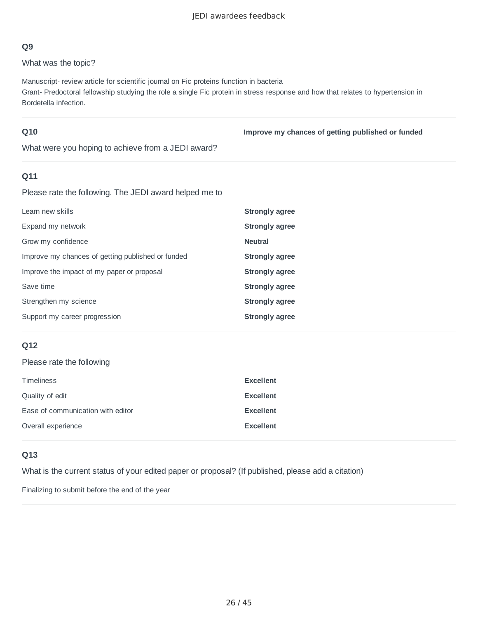What was the topic?

Manuscript- review article for scientific journal on Fic proteins function in bacteria Grant- Predoctoral fellowship studying the role a single Fic protein in stress response and how that relates to hypertension in Bordetella infection.

#### **Q10**

**Improve my chances of getting published or funded**

What were you hoping to achieve from a JEDI award?

## **Q11**

Please rate the following. The JEDI award helped me to

| Learn new skills                                  | <b>Strongly agree</b> |
|---------------------------------------------------|-----------------------|
| Expand my network                                 | <b>Strongly agree</b> |
| Grow my confidence                                | <b>Neutral</b>        |
| Improve my chances of getting published or funded | <b>Strongly agree</b> |
| Improve the impact of my paper or proposal        | Strongly agree        |
| Save time                                         | Strongly agree        |
| Strengthen my science                             | <b>Strongly agree</b> |
| Support my career progression                     | Strongly agree        |

## **Q12**

Please rate the following

| <b>Timeliness</b>                 | <b>Excellent</b> |
|-----------------------------------|------------------|
| Quality of edit                   | <b>Excellent</b> |
| Ease of communication with editor | <b>Excellent</b> |
| Overall experience                | <b>Excellent</b> |

#### **Q13**

What is the current status of your edited paper or proposal? (If published, please add a citation)

Finalizing to submit before the end of the year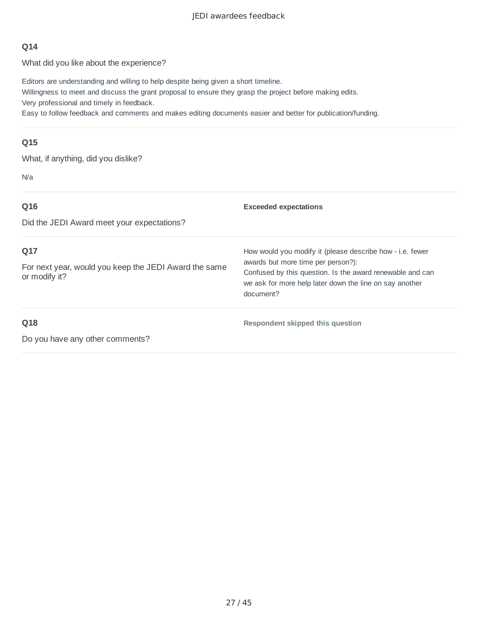#### JEDI awardees feedback

#### **Q14**

What did you like about the experience?

Editors are understanding and willing to help despite being given a short timeline. Willingness to meet and discuss the grant proposal to ensure they grasp the project before making edits. Very professional and timely in feedback.

Easy to follow feedback and comments and makes editing documents easier and better for publication/funding.

#### **Q15**

What, if anything, did you dislike?

N/a

| Q16<br>Did the JEDI Award meet your expectations?                             | <b>Exceeded expectations</b>                                                                                                                                                                                                         |
|-------------------------------------------------------------------------------|--------------------------------------------------------------------------------------------------------------------------------------------------------------------------------------------------------------------------------------|
| Q17<br>For next year, would you keep the JEDI Award the same<br>or modify it? | How would you modify it (please describe how - i.e. fewer<br>awards but more time per person?):<br>Confused by this question. Is the award renewable and can<br>we ask for more help later down the line on say another<br>document? |
| Q18                                                                           | Respondent skipped this question                                                                                                                                                                                                     |

Do you have any other comments?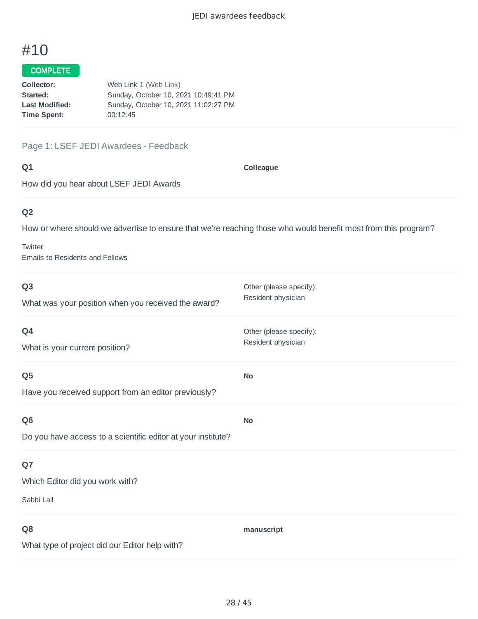### COMPLETE

| Collector:            | Web Link 1 (Web Link)                |
|-----------------------|--------------------------------------|
| Started:              | Sunday, October 10, 2021 10:49:41 PM |
| <b>Last Modified:</b> | Sunday, October 10, 2021 11:02:27 PM |
| <b>Time Spent:</b>    | 00:12:45                             |
|                       |                                      |

Page 1: LSEF JEDI Awardees - Feedback

#### **Q1**

**Colleague**

How did you hear about LSEF JEDI Awards

# **Q2**

How or where should we advertise to ensure that we're reaching those who would benefit most from this program?

**Twitter** Emails to Residents and Fellows

| Q <sub>3</sub><br>What was your position when you received the award? | Other (please specify):<br>Resident physician |
|-----------------------------------------------------------------------|-----------------------------------------------|
| Q4<br>What is your current position?                                  | Other (please specify):<br>Resident physician |
| Q <sub>5</sub>                                                        | <b>No</b>                                     |
| Have you received support from an editor previously?                  |                                               |
| Q <sub>6</sub>                                                        | <b>No</b>                                     |
| Do you have access to a scientific editor at your institute?          |                                               |
| Q7                                                                    |                                               |
| Which Editor did you work with?                                       |                                               |
| Sabbi Lall                                                            |                                               |
| Q8                                                                    | manuscript                                    |
| What type of project did our Editor help with?                        |                                               |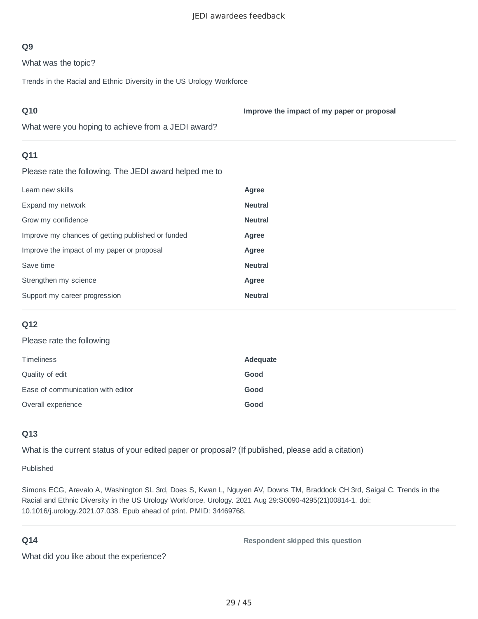What was the topic?

Trends in the Racial and Ethnic Diversity in the US Urology Workforce

| Q10                                                    | Improve the impact of my paper or proposal |
|--------------------------------------------------------|--------------------------------------------|
| What were you hoping to achieve from a JEDI award?     |                                            |
| Q11                                                    |                                            |
| Please rate the following. The JEDI award helped me to |                                            |
| Learn new skills                                       | Agree                                      |
| Expand my network                                      | <b>Neutral</b>                             |
| Grow my confidence                                     | <b>Neutral</b>                             |
| Improve my chances of getting published or funded      | Agree                                      |
| Improve the impact of my paper or proposal             | Agree                                      |
| Save time                                              | <b>Neutral</b>                             |
| Strengthen my science                                  | Agree                                      |
| Support my career progression                          | <b>Neutral</b>                             |
|                                                        |                                            |

#### **Q12**

#### Please rate the following

| <b>Timeliness</b>                 | Adequate |
|-----------------------------------|----------|
| Quality of edit                   | Good     |
| Ease of communication with editor | Good     |
| Overall experience                | Good     |

#### **Q13**

What is the current status of your edited paper or proposal? (If published, please add a citation)

Published

Simons ECG, Arevalo A, Washington SL 3rd, Does S, Kwan L, Nguyen AV, Downs TM, Braddock CH 3rd, Saigal C. Trends in the Racial and Ethnic Diversity in the US Urology Workforce. Urology. 2021 Aug 29:S0090-4295(21)00814-1. doi: 10.1016/j.urology.2021.07.038. Epub ahead of print. PMID: 34469768.

#### **Q14**

**Respondent skipped this question**

What did you like about the experience?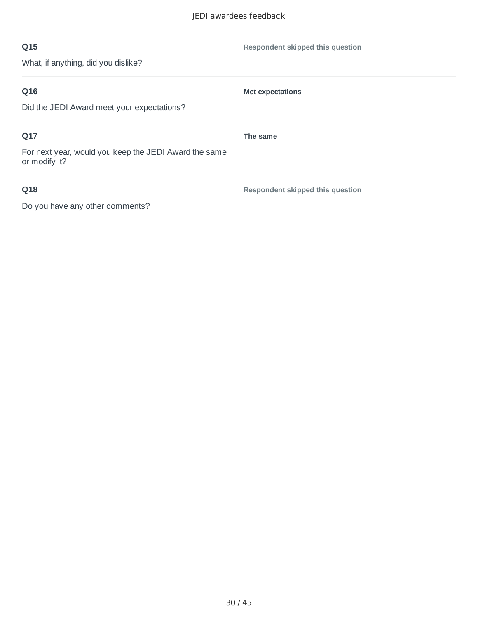| Q15                                                                    | Respondent skipped this question |
|------------------------------------------------------------------------|----------------------------------|
| What, if anything, did you dislike?                                    |                                  |
| Q16                                                                    | <b>Met expectations</b>          |
| Did the JEDI Award meet your expectations?                             |                                  |
| Q17                                                                    | The same                         |
| For next year, would you keep the JEDI Award the same<br>or modify it? |                                  |
| Q18                                                                    | Respondent skipped this question |
| Do you have any other comments?                                        |                                  |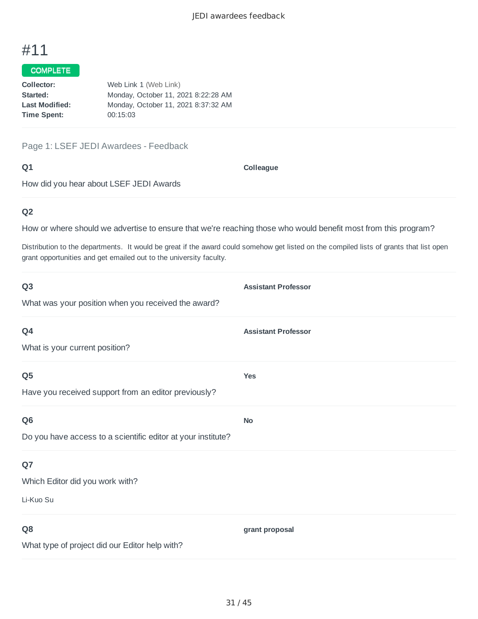### COMPLETE

| Web Link 1 (Web Link)               |
|-------------------------------------|
| Monday, October 11, 2021 8:22:28 AM |
| Monday, October 11, 2021 8:37:32 AM |
| 00:15:03                            |
|                                     |

Page 1: LSEF JEDI Awardees - Feedback

#### **Q1**

**Colleague**

How did you hear about LSEF JEDI Awards

## **Q2**

How or where should we advertise to ensure that we're reaching those who would benefit most from this program?

Distribution to the departments. It would be great if the award could somehow get listed on the compiled lists of grants that list open grant opportunities and get emailed out to the university faculty.

| Q <sub>3</sub>                                               | <b>Assistant Professor</b> |
|--------------------------------------------------------------|----------------------------|
| What was your position when you received the award?          |                            |
| Q4                                                           | <b>Assistant Professor</b> |
| What is your current position?                               |                            |
| Q <sub>5</sub>                                               | <b>Yes</b>                 |
| Have you received support from an editor previously?         |                            |
| Q <sub>6</sub>                                               | <b>No</b>                  |
| Do you have access to a scientific editor at your institute? |                            |
| Q7                                                           |                            |
| Which Editor did you work with?                              |                            |
| Li-Kuo Su                                                    |                            |
| Q8                                                           | grant proposal             |
| What type of project did our Editor help with?               |                            |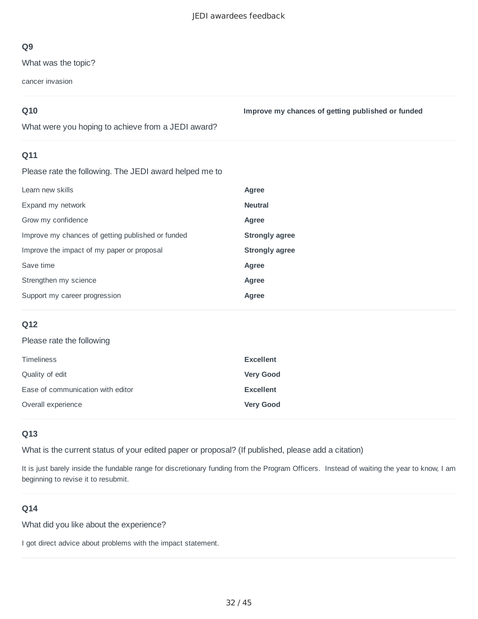What was the topic?

cancer invasion

## **Q10**

**Improve my chances of getting published or funded**

What were you hoping to achieve from a JEDI award?

## **Q11**

Please rate the following. The JEDI award helped me to

| Learn new skills                                  | Agree                 |
|---------------------------------------------------|-----------------------|
| Expand my network                                 | <b>Neutral</b>        |
| Grow my confidence                                | Agree                 |
| Improve my chances of getting published or funded | <b>Strongly agree</b> |
| Improve the impact of my paper or proposal        | <b>Strongly agree</b> |
| Save time                                         | Agree                 |
| Strengthen my science                             | Agree                 |
| Support my career progression                     | Agree                 |

## **Q12**

#### Please rate the following

| Timeliness                        | <b>Excellent</b> |
|-----------------------------------|------------------|
| Quality of edit                   | <b>Very Good</b> |
| Ease of communication with editor | <b>Excellent</b> |
| Overall experience                | <b>Very Good</b> |

## **Q13**

What is the current status of your edited paper or proposal? (If published, please add a citation)

It is just barely inside the fundable range for discretionary funding from the Program Officers. Instead of waiting the year to know, I am beginning to revise it to resubmit.

## **Q14**

What did you like about the experience?

I got direct advice about problems with the impact statement.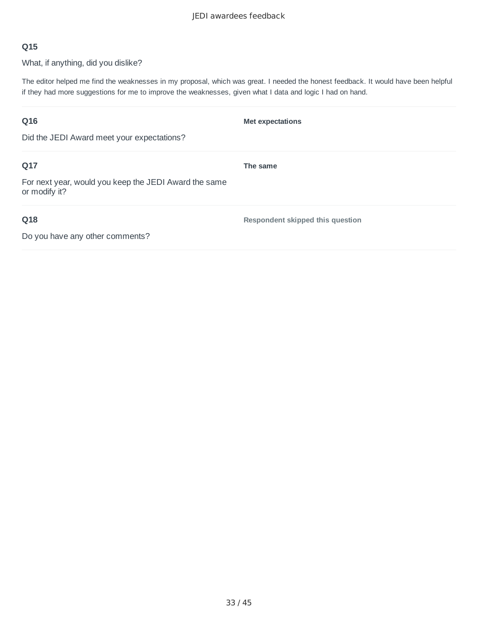What, if anything, did you dislike?

The editor helped me find the weaknesses in my proposal, which was great. I needed the honest feedback. It would have been helpful if they had more suggestions for me to improve the weaknesses, given what I data and logic I had on hand.

| Q16<br>Did the JEDI Award meet your expectations?            | <b>Met expectations</b>          |
|--------------------------------------------------------------|----------------------------------|
| Q17<br>For next year, would you keep the JEDI Award the same | The same                         |
| or modify it?                                                |                                  |
| Q18                                                          | Respondent skipped this question |
| Do you have any other comments?                              |                                  |

33 / 45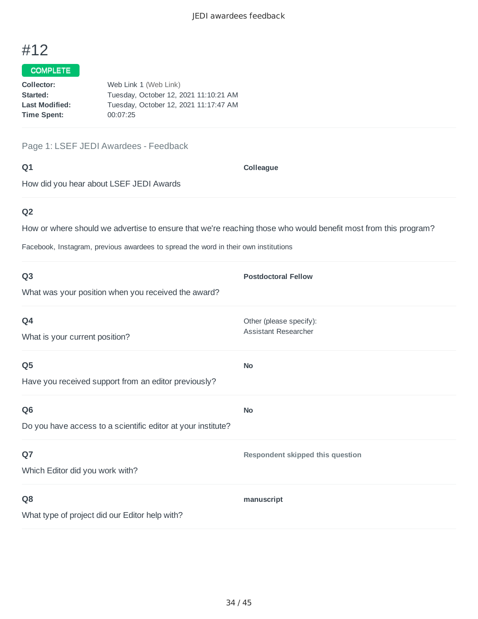### COMPLETE

| Collector:            | Web Link 1 (Web Link)                 |
|-----------------------|---------------------------------------|
| Started:              | Tuesday, October 12, 2021 11:10:21 AM |
| <b>Last Modified:</b> | Tuesday, October 12, 2021 11:17:47 AM |
| Time Spent:           | 00:07:25                              |
|                       |                                       |

Page 1: LSEF JEDI Awardees - Feedback

#### **Q1**

**Colleague**

How did you hear about LSEF JEDI Awards

# **Q2**

How or where should we advertise to ensure that we're reaching those who would benefit most from this program?

Facebook, Instagram, previous awardees to spread the word in their own institutions

| Q <sub>3</sub>                                                                 | <b>Postdoctoral Fellow</b>                             |
|--------------------------------------------------------------------------------|--------------------------------------------------------|
| What was your position when you received the award?                            |                                                        |
| Q4<br>What is your current position?                                           | Other (please specify):<br><b>Assistant Researcher</b> |
| Q <sub>5</sub><br>Have you received support from an editor previously?         | <b>No</b>                                              |
| Q <sub>6</sub><br>Do you have access to a scientific editor at your institute? | <b>No</b>                                              |
| Q7<br>Which Editor did you work with?                                          | Respondent skipped this question                       |
| Q <sub>8</sub><br>What type of project did our Editor help with?               | manuscript                                             |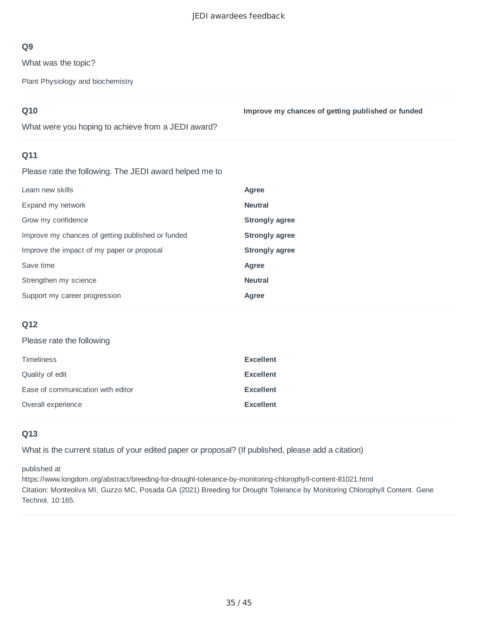What was the topic?

Plant Physiology and biochemistry

## **Q10**

**Improve my chances of getting published or funded**

What were you hoping to achieve from a JEDI award?

## **Q11**

Please rate the following. The JEDI award helped me to

| Learn new skills                                  | Agree                 |
|---------------------------------------------------|-----------------------|
| Expand my network                                 | <b>Neutral</b>        |
| Grow my confidence                                | <b>Strongly agree</b> |
| Improve my chances of getting published or funded | <b>Strongly agree</b> |
| Improve the impact of my paper or proposal        | <b>Strongly agree</b> |
| Save time                                         | Agree                 |
| Strengthen my science                             | <b>Neutral</b>        |
| Support my career progression                     | Agree                 |

## **Q12**

#### Please rate the following

| <b>Timeliness</b>                 | <b>Excellent</b> |
|-----------------------------------|------------------|
| Quality of edit                   | <b>Excellent</b> |
| Ease of communication with editor | <b>Excellent</b> |
| Overall experience                | <b>Excellent</b> |

## **Q13**

What is the current status of your edited paper or proposal? (If published, please add a citation)

published at

https://www.longdom.org/abstract/breeding-for-drought-tolerance-by-monitoring-chlorophyll-content-81021.html Citation: Monteoliva MI, Guzzo MC, Posada GA (2021) Breeding for Drought Tolerance by Monitoring Chlorophyll Content. Gene Technol. 10:165.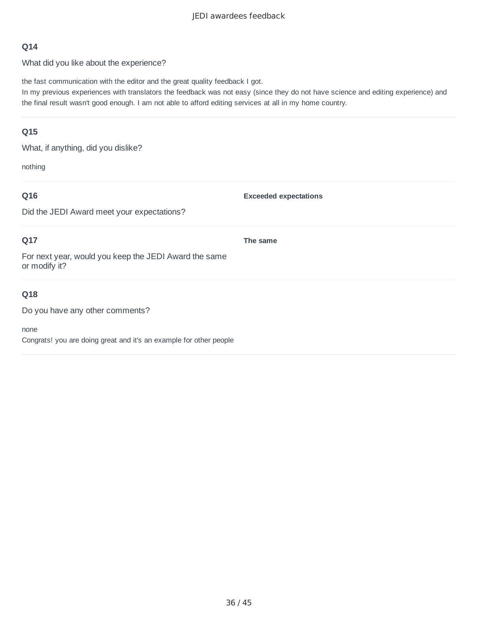What did you like about the experience?

the fast communication with the editor and the great quality feedback I got.

In my previous experiences with translators the feedback was not easy (since they do not have science and editing experience) and the final result wasn't good enough. I am not able to afford editing services at all in my home country.

### **Q15**

What, if anything, did you dislike?

nothing

## **Q16**

**Exceeded expectations**

Did the JEDI Award meet your expectations?

## **Q17**

**The same**

For next year, would you keep the JEDI Award the same or modify it?

## **Q18**

Do you have any other comments?

none

Congrats! you are doing great and it's an example for other people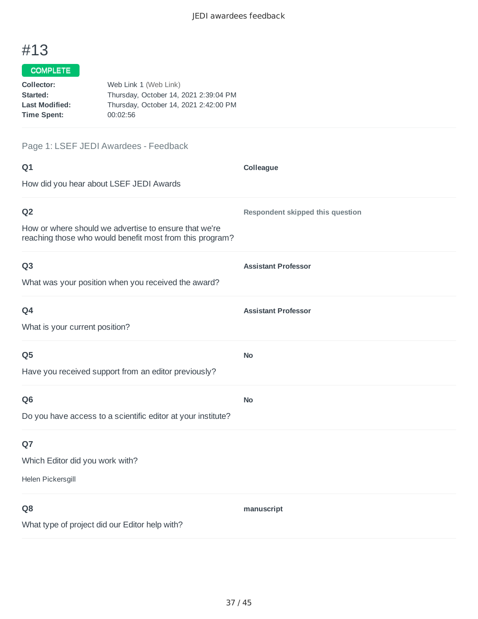## COMPLETE

| Collector:            | Web Link 1 (Web Link)                 |
|-----------------------|---------------------------------------|
| Started:              | Thursday, October 14, 2021 2:39:04 PM |
| <b>Last Modified:</b> | Thursday, October 14, 2021 2:42:00 PM |
| Time Spent:           | 00:02:56                              |

# Page 1: LSEF JEDI Awardees - Feedback

| Q1                                                                                                                | Colleague                        |
|-------------------------------------------------------------------------------------------------------------------|----------------------------------|
| How did you hear about LSEF JEDI Awards                                                                           |                                  |
| Q <sub>2</sub>                                                                                                    | Respondent skipped this question |
| How or where should we advertise to ensure that we're<br>reaching those who would benefit most from this program? |                                  |
| Q <sub>3</sub>                                                                                                    | <b>Assistant Professor</b>       |
| What was your position when you received the award?                                                               |                                  |
| Q4                                                                                                                | <b>Assistant Professor</b>       |
| What is your current position?                                                                                    |                                  |
| Q <sub>5</sub>                                                                                                    | No                               |
| Have you received support from an editor previously?                                                              |                                  |
| Q <sub>6</sub>                                                                                                    | <b>No</b>                        |
| Do you have access to a scientific editor at your institute?                                                      |                                  |
| Q7                                                                                                                |                                  |
| Which Editor did you work with?                                                                                   |                                  |
| Helen Pickersgill                                                                                                 |                                  |
| Q <sub>8</sub>                                                                                                    | manuscript                       |
| What type of project did our Editor help with?                                                                    |                                  |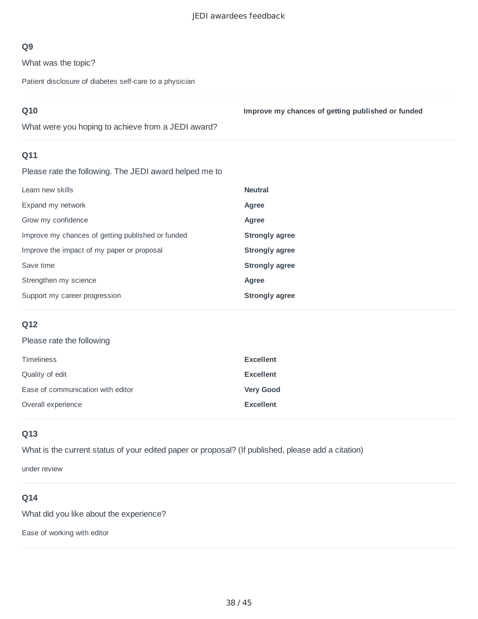What was the topic?

Patient disclosure of diabetes self-care to a physician

| <b>Q10</b>                                         | Improve my chances of getting published or funded |
|----------------------------------------------------|---------------------------------------------------|
| What were you hoping to achieve from a JEDI award? |                                                   |

## **Q11**

Please rate the following. The JEDI award helped me to

| Learn new skills                                  | <b>Neutral</b>        |
|---------------------------------------------------|-----------------------|
| Expand my network                                 | Agree                 |
| Grow my confidence                                | Agree                 |
| Improve my chances of getting published or funded | <b>Strongly agree</b> |
| Improve the impact of my paper or proposal        | <b>Strongly agree</b> |
| Save time                                         | <b>Strongly agree</b> |
| Strengthen my science                             | Agree                 |
| Support my career progression                     | <b>Strongly agree</b> |

## **Q12**

#### Please rate the following

| <b>Timeliness</b>                 | <b>Excellent</b> |
|-----------------------------------|------------------|
| Quality of edit                   | <b>Excellent</b> |
| Ease of communication with editor | <b>Very Good</b> |
| Overall experience                | <b>Excellent</b> |

## **Q13**

What is the current status of your edited paper or proposal? (If published, please add a citation)

under review

### **Q14**

What did you like about the experience?

Ease of working with editor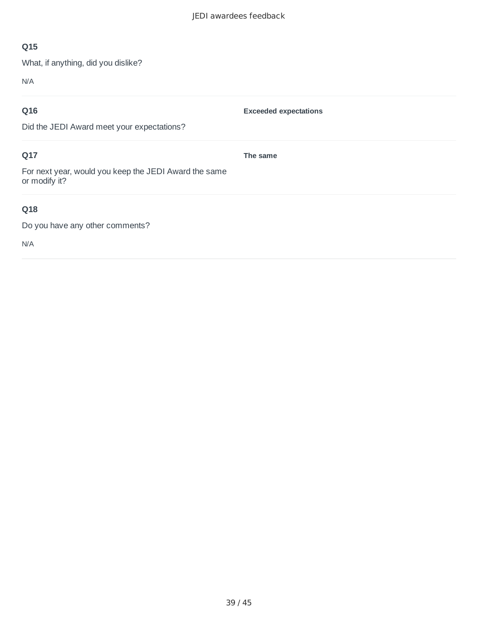**Exceeded expectations**

**The same**

## **Q15**

What, if anything, did you dislike?

N/A

## **Q16**

Did the JEDI Award meet your expectations?

## **Q17**

For next year, would you keep the JEDI Award the same or modify it?

## **Q18**

Do you have any other comments?

N/A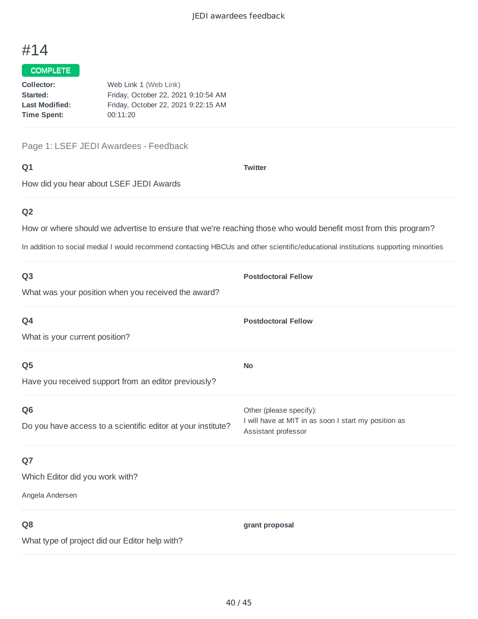### COMPLETE

| Collector:            | Web Link 1 (Web Link)               |
|-----------------------|-------------------------------------|
| Started:              | Friday, October 22, 2021 9:10:54 AM |
| <b>Last Modified:</b> | Friday, October 22, 2021 9:22:15 AM |
| Time Spent:           | 00:11:20                            |
|                       |                                     |

Page 1: LSEF JEDI Awardees - Feedback

#### **Q1**

**Twitter**

How did you hear about LSEF JEDI Awards

## **Q2**

How or where should we advertise to ensure that we're reaching those who would benefit most from this program?

In addition to social medial I would recommend contacting HBCUs and other scientific/educational institutions supporting minorities

| Q <sub>3</sub>                                               | <b>Postdoctoral Fellow</b>                                                  |
|--------------------------------------------------------------|-----------------------------------------------------------------------------|
| What was your position when you received the award?          |                                                                             |
| Q4                                                           | <b>Postdoctoral Fellow</b>                                                  |
| What is your current position?                               |                                                                             |
| Q <sub>5</sub>                                               | <b>No</b>                                                                   |
| Have you received support from an editor previously?         |                                                                             |
| Q <sub>6</sub>                                               | Other (please specify):                                                     |
| Do you have access to a scientific editor at your institute? | I will have at MIT in as soon I start my position as<br>Assistant professor |
| Q7                                                           |                                                                             |
| Which Editor did you work with?                              |                                                                             |
| Angela Andersen                                              |                                                                             |
| Q <sub>8</sub>                                               | grant proposal                                                              |
| What type of project did our Editor help with?               |                                                                             |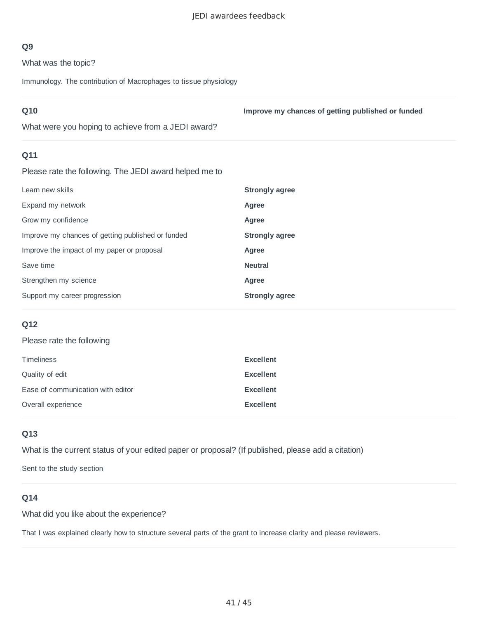What was the topic?

Immunology. The contribution of Macrophages to tissue physiology

| Q10<br>What were you hoping to achieve from a JEDI award? | Improve my chances of getting published or funded |
|-----------------------------------------------------------|---------------------------------------------------|
| Q11<br>.<br>.                                             |                                                   |

Please rate the following. The JEDI award helped me to

| Learn new skills                                  | <b>Strongly agree</b> |
|---------------------------------------------------|-----------------------|
| Expand my network                                 | Agree                 |
| Grow my confidence                                | Agree                 |
| Improve my chances of getting published or funded | Strongly agree        |
| Improve the impact of my paper or proposal        | Agree                 |
| Save time                                         | <b>Neutral</b>        |
| Strengthen my science                             | Agree                 |
| Support my career progression                     | Strongly agree        |

#### **Q12**

#### Please rate the following

| <b>Timeliness</b>                 | <b>Excellent</b> |
|-----------------------------------|------------------|
| Quality of edit                   | <b>Excellent</b> |
| Ease of communication with editor | <b>Excellent</b> |
| Overall experience                | <b>Excellent</b> |

#### **Q13**

What is the current status of your edited paper or proposal? (If published, please add a citation)

Sent to the study section

### **Q14**

What did you like about the experience?

That I was explained clearly how to structure several parts of the grant to increase clarity and please reviewers.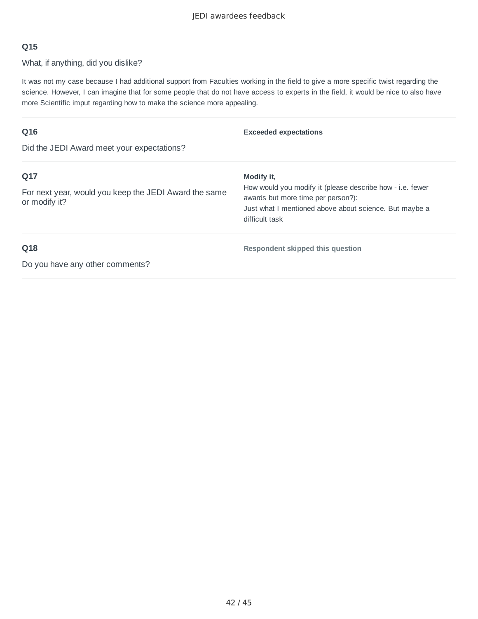What, if anything, did you dislike?

It was not my case because I had additional support from Faculties working in the field to give a more specific twist regarding the science. However, I can imagine that for some people that do not have access to experts in the field, it would be nice to also have more Scientific imput regarding how to make the science more appealing.

| Q16                                                                    | <b>Exceeded expectations</b>                                                                    |
|------------------------------------------------------------------------|-------------------------------------------------------------------------------------------------|
| Did the JEDI Award meet your expectations?                             |                                                                                                 |
| Q17                                                                    | Modify it.                                                                                      |
| For next year, would you keep the JEDI Award the same<br>or modify it? | How would you modify it (please describe how - i.e. fewer<br>awards but more time per person?): |
|                                                                        | Just what I mentioned above about science. But maybe a                                          |
|                                                                        | difficult task                                                                                  |
| Q18                                                                    | Respondent skipped this question                                                                |
| Do you have any other comments?                                        |                                                                                                 |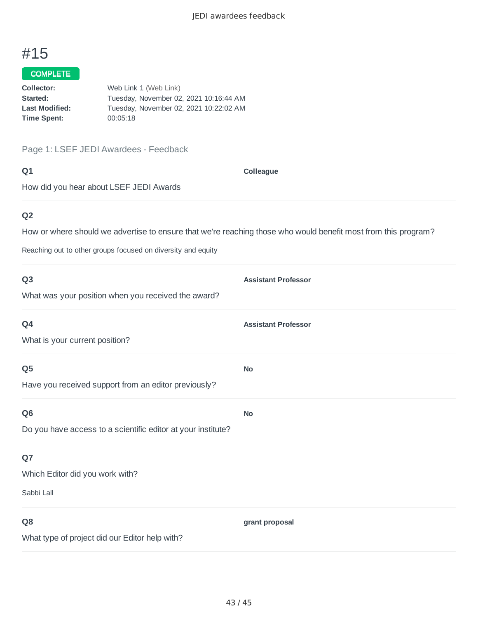#### COMPLETE

| Web Link 1 (Web Link)                  |
|----------------------------------------|
| Tuesday, November 02, 2021 10:16:44 AM |
| Tuesday, November 02, 2021 10:22:02 AM |
| 00:05:18                               |
|                                        |

Page 1: LSEF JEDI Awardees - Feedback

**Q1**

**Colleague**

How did you hear about LSEF JEDI Awards

## **Q2**

How or where should we advertise to ensure that we're reaching those who would benefit most from this program?

Reaching out to other groups focused on diversity and equity

| Q <sub>3</sub>                                               | <b>Assistant Professor</b> |
|--------------------------------------------------------------|----------------------------|
| What was your position when you received the award?          |                            |
| Q4                                                           | <b>Assistant Professor</b> |
| What is your current position?                               |                            |
| Q <sub>5</sub>                                               | <b>No</b>                  |
| Have you received support from an editor previously?         |                            |
| Q <sub>6</sub>                                               | <b>No</b>                  |
| Do you have access to a scientific editor at your institute? |                            |
| Q7                                                           |                            |
| Which Editor did you work with?                              |                            |
| Sabbi Lall                                                   |                            |
| Q <sub>8</sub>                                               | grant proposal             |
| What type of project did our Editor help with?               |                            |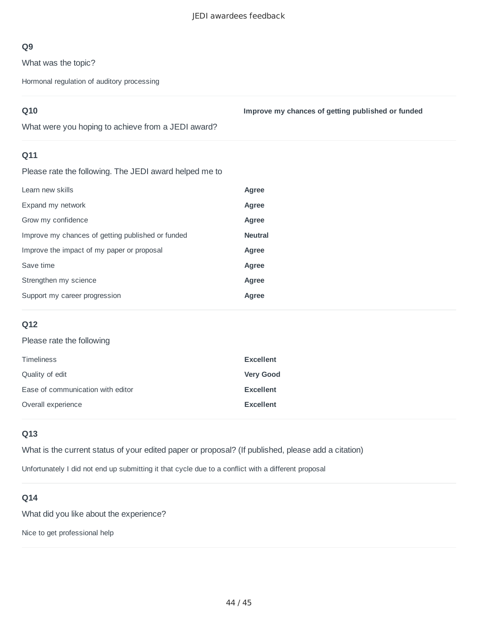What was the topic?

Hormonal regulation of auditory processing

| Q10 |  |  |
|-----|--|--|

**Improve my chances of getting published or funded**

What were you hoping to achieve from a JEDI award?

### **Q11**

Please rate the following. The JEDI award helped me to

| Learn new skills                                  | Agree          |
|---------------------------------------------------|----------------|
| Expand my network                                 | Agree          |
| Grow my confidence                                | Agree          |
| Improve my chances of getting published or funded | <b>Neutral</b> |
| Improve the impact of my paper or proposal        | Agree          |
| Save time                                         | Agree          |
| Strengthen my science                             | Agree          |
| Support my career progression                     | Agree          |
|                                                   |                |

## **Q12**

#### Please rate the following

| <b>Timeliness</b>                 | <b>Excellent</b> |
|-----------------------------------|------------------|
| Quality of edit                   | <b>Very Good</b> |
| Ease of communication with editor | <b>Excellent</b> |
| Overall experience                | <b>Excellent</b> |

## **Q13**

What is the current status of your edited paper or proposal? (If published, please add a citation)

Unfortunately I did not end up submitting it that cycle due to a conflict with a different proposal

#### **Q14**

What did you like about the experience?

Nice to get professional help